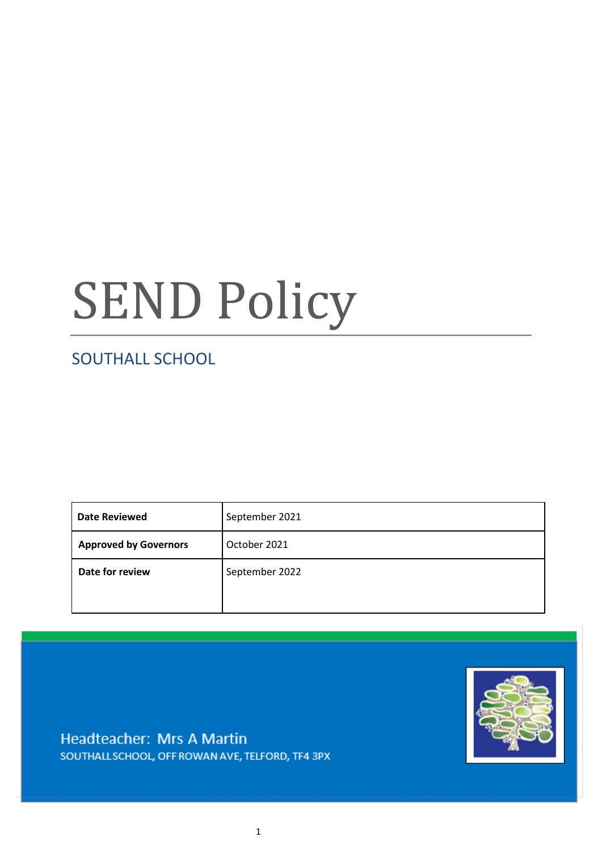# SEND Policy

## SOUTHALL SCHOOL

| <b>Date Reviewed</b>         | September 2021 |
|------------------------------|----------------|
| <b>Approved by Governors</b> | October 2021   |
| Date for review              | September 2022 |



Headteacher: Mrs A Martin SOUTHALL SCHOOL, OFF ROWAN AVE, TELFORD, TF4 3PX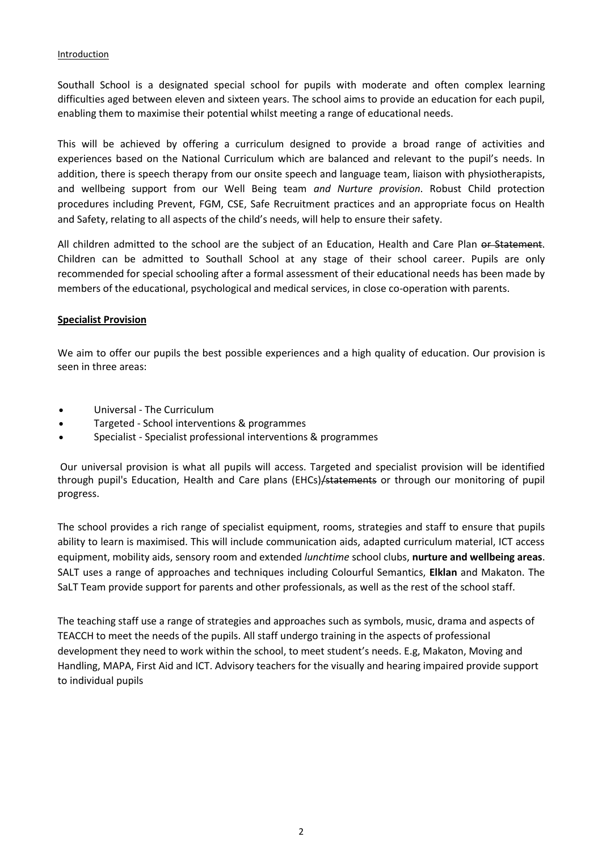#### **Introduction**

Southall School is a designated special school for pupils with moderate and often complex learning difficulties aged between eleven and sixteen years. The school aims to provide an education for each pupil, enabling them to maximise their potential whilst meeting a range of educational needs.

This will be achieved by offering a curriculum designed to provide a broad range of activities and experiences based on the National Curriculum which are balanced and relevant to the pupil's needs. In addition, there is speech therapy from our onsite speech and language team, liaison with physiotherapists, and wellbeing support from our Well Being team *and Nurture provision*. Robust Child protection procedures including Prevent, FGM, CSE, Safe Recruitment practices and an appropriate focus on Health and Safety, relating to all aspects of the child's needs, will help to ensure their safety.

All children admitted to the school are the subject of an Education, Health and Care Plan or Statement. Children can be admitted to Southall School at any stage of their school career. Pupils are only recommended for special schooling after a formal assessment of their educational needs has been made by members of the educational, psychological and medical services, in close co-operation with parents.

#### **Specialist Provision**

We aim to offer our pupils the best possible experiences and a high quality of education. Our provision is seen in three areas:

- Universal The Curriculum
- Targeted School interventions & programmes
- Specialist Specialist professional interventions & programmes

Our universal provision is what all pupils will access. Targeted and specialist provision will be identified through pupil's Education, Health and Care plans (EHCs)/statements or through our monitoring of pupil progress.

The school provides a rich range of specialist equipment, rooms, strategies and staff to ensure that pupils ability to learn is maximised. This will include communication aids, adapted curriculum material, ICT access equipment, mobility aids, sensory room and extended *lunchtime* school clubs, **nurture and wellbeing areas**. SALT uses a range of approaches and techniques including Colourful Semantics, **Elklan** and Makaton. The SaLT Team provide support for parents and other professionals, as well as the rest of the school staff.

The teaching staff use a range of strategies and approaches such as symbols, music, drama and aspects of TEACCH to meet the needs of the pupils. All staff undergo training in the aspects of professional development they need to work within the school, to meet student's needs. E.g, Makaton, Moving and Handling, MAPA, First Aid and ICT. Advisory teachers for the visually and hearing impaired provide support to individual pupils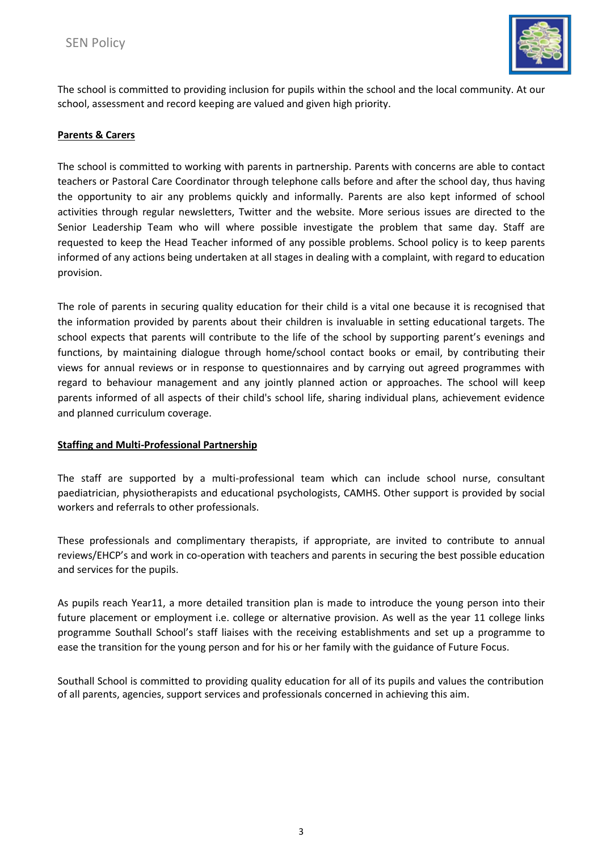

The school is committed to providing inclusion for pupils within the school and the local community. At our school, assessment and record keeping are valued and given high priority.

#### **Parents & Carers**

The school is committed to working with parents in partnership. Parents with concerns are able to contact teachers or Pastoral Care Coordinator through telephone calls before and after the school day, thus having the opportunity to air any problems quickly and informally. Parents are also kept informed of school activities through regular newsletters, Twitter and the website. More serious issues are directed to the Senior Leadership Team who will where possible investigate the problem that same day. Staff are requested to keep the Head Teacher informed of any possible problems. School policy is to keep parents informed of any actions being undertaken at all stages in dealing with a complaint, with regard to education provision.

The role of parents in securing quality education for their child is a vital one because it is recognised that the information provided by parents about their children is invaluable in setting educational targets. The school expects that parents will contribute to the life of the school by supporting parent's evenings and functions, by maintaining dialogue through home/school contact books or email, by contributing their views for annual reviews or in response to questionnaires and by carrying out agreed programmes with regard to behaviour management and any jointly planned action or approaches. The school will keep parents informed of all aspects of their child's school life, sharing individual plans, achievement evidence and planned curriculum coverage.

#### **Staffing and Multi-Professional Partnership**

The staff are supported by a multi-professional team which can include school nurse, consultant paediatrician, physiotherapists and educational psychologists, CAMHS. Other support is provided by social workers and referrals to other professionals.

These professionals and complimentary therapists, if appropriate, are invited to contribute to annual reviews/EHCP's and work in co-operation with teachers and parents in securing the best possible education and services for the pupils.

As pupils reach Year11, a more detailed transition plan is made to introduce the young person into their future placement or employment i.e. college or alternative provision. As well as the year 11 college links programme Southall School's staff liaises with the receiving establishments and set up a programme to ease the transition for the young person and for his or her family with the guidance of Future Focus.

Southall School is committed to providing quality education for all of its pupils and values the contribution of all parents, agencies, support services and professionals concerned in achieving this aim.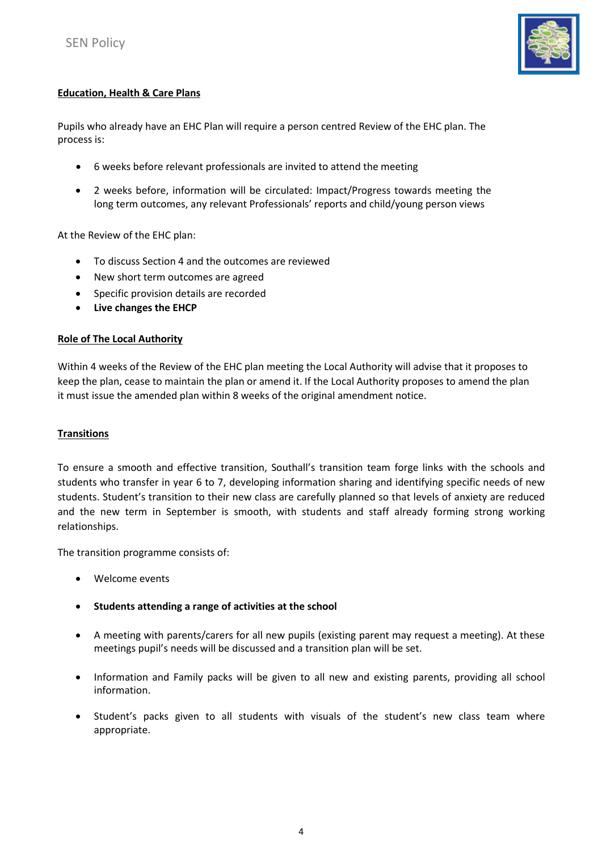

### **Education, Health & Care Plans**

Pupils who already have an EHC Plan will require a person centred Review of the EHC plan. The process is:

- 6 weeks before relevant professionals are invited to attend the meeting
- 2 weeks before, information will be circulated: Impact/Progress towards meeting the long term outcomes, any relevant Professionals' reports and child/young person views

At the Review of the EHC plan:

- To discuss Section 4 and the outcomes are reviewed
- New short term outcomes are agreed
- Specific provision details are recorded
- **Live changes the EHCP**

#### **Role of The Local Authority**

Within 4 weeks of the Review of the EHC plan meeting the Local Authority will advise that it proposes to keep the plan, cease to maintain the plan or amend it. If the Local Authority proposes to amend the plan it must issue the amended plan within 8 weeks of the original amendment notice.

#### **Transitions**

To ensure a smooth and effective transition, Southall's transition team forge links with the schools and students who transfer in year 6 to 7, developing information sharing and identifying specific needs of new students. Student's transition to their new class are carefully planned so that levels of anxiety are reduced and the new term in September is smooth, with students and staff already forming strong working relationships.

The transition programme consists of:

- Welcome events
- **Students attending a range of activities at the school**
- A meeting with parents/carers for all new pupils (existing parent may request a meeting). At these meetings pupil's needs will be discussed and a transition plan will be set.
- Information and Family packs will be given to all new and existing parents, providing all school information.
- Student's packs given to all students with visuals of the student's new class team where appropriate.